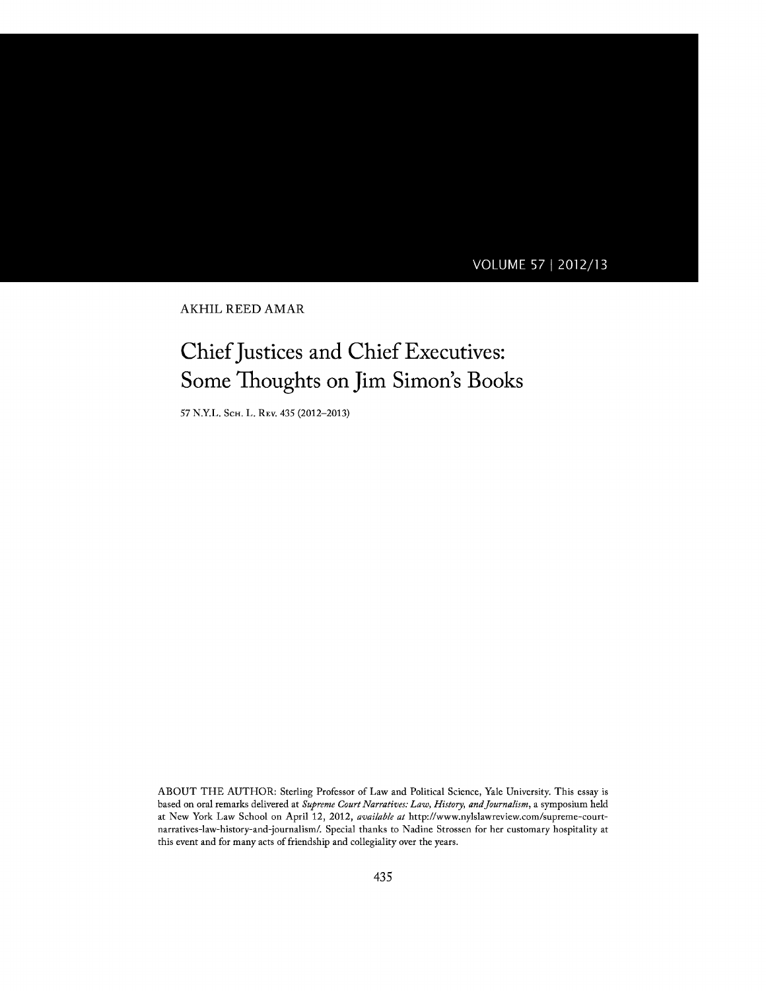### **VOLUME 57 2012/13**

AKHIL REED AMAR

# Chief Justices and Chief Executives: Some Thoughts on Jim Simon's Books

**57** N.Y.L. **SCH.** L. REV. 435 **(2012-2013)**

**ABOUT** THE AUTHOR: Sterling Professor of Law and Political Science, Yale University. This essay is based on oral remarks delivered at *Supreme Court Narratives: Law, History, andJournalism,* a symposium held at New York Law School on April 12, 2012, *available at* http://www.nylslawreview.com/supreme-courtnarratives-law-history-and-journalism/. Special thanks to Nadine Strossen for her customary hospitality at this event and for many acts of friendship and collegiality over the years.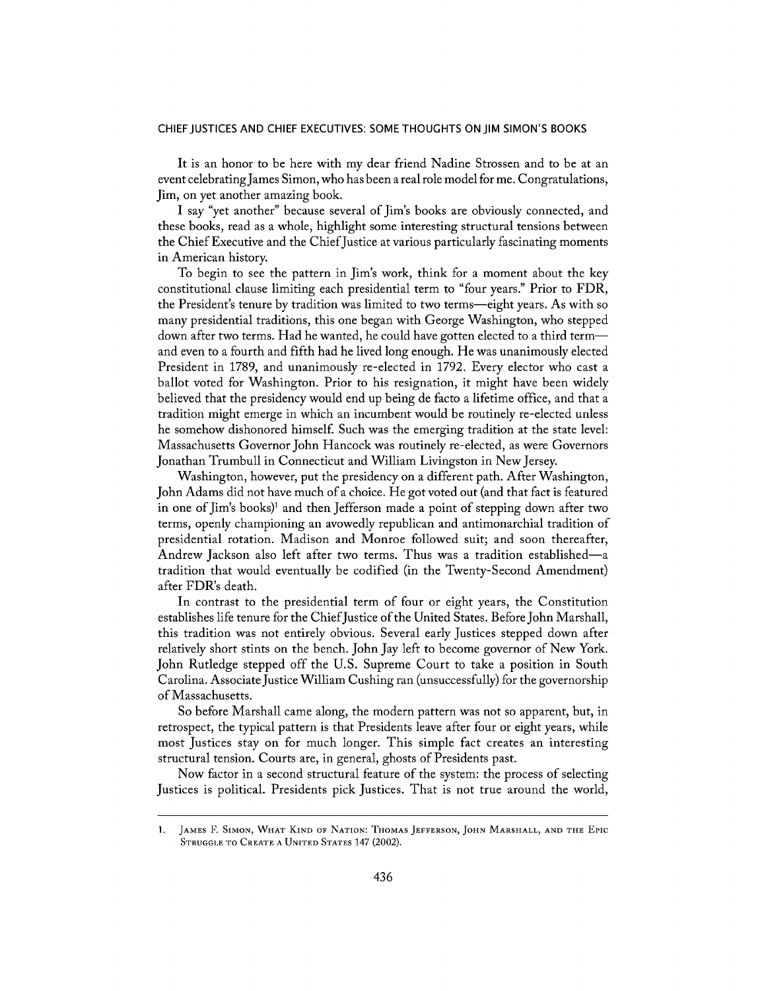#### **CHIEF JUSTICES AND CHIEF EXECUTIVES: SOME THOUGHTS ON JIM SIMON'S BOOKS**

It is an honor to be here with my dear friend Nadine Strossen and to be at an event celebratingJames Simon, who has been a real role model for me. Congratulations, Jim, on yet another amazing book.

**I** say "yet another" because several of Jim's books are obviously connected, and these books, read as a whole, highlight some interesting structural tensions between the Chief Executive and the Chief Justice at various particularly fascinating moments in American history.

To begin to see the pattern in Jim's work, think for a moment about the key constitutional clause limiting each presidential term to "four years." Prior to FDR, the President's tenure **by** tradition was limited to two terms-eight years. As with so many presidential traditions, this one began with George Washington, who stepped down after two terms. Had he wanted, he could have gotten elected to a third termand even to a fourth and **fifth** had he lived long enough. He was unanimously elected President in **1789,** and unanimously re-elected in **1792.** Every elector who cast a ballot voted for Washington. Prior to his resignation, it might have been widely believed that the presidency would end up being de facto a lifetime office, and that a tradition might emerge in which an incumbent would be routinely re-elected unless he somehow dishonored himself. Such was the emerging tradition at the state level: Massachusetts Governor John Hancock was routinely re-elected, as were Governors Jonathan Trumbull in Connecticut and William Livingston in New Jersey.

Washington, however, put the presidency on a different path. After Washington, John Adams did not have much of a choice. He got voted out (and that fact is featured in one of Jim's books)' and then Jefferson made a point of stepping down after two terms, openly championing an avowedly republican and antimonarchial tradition of presidential rotation. Madison and Monroe followed suit; and soon thereafter, Andrew Jackson also left after two terms. Thus was a tradition established-a tradition that would eventually be codified (in the Twenty-Second Amendment) after FDR's death.

In contrast to the presidential term of four or eight years, the Constitution establishes life tenure for the Chief Justice of the United States. Before John Marshall, this tradition was not entirely obvious. Several early Justices stepped down after relatively short stints on the bench. John Jay left to become governor of New York. John Rutledge stepped off the **U.S.** Supreme Court to take a position in South Carolina. Associate Justice William Cushing ran (unsuccessfully) for the governorship of Massachusetts.

So before Marshall came along, the modern pattern was not so apparent, but, in retrospect, the typical pattern is that Presidents leave after four or eight years, while most Justices stay on for much longer. This simple fact creates an interesting structural tension. Courts are, in general, ghosts of Presidents past.

Now factor in a second structural feature of the system: the process of selecting Justices is political. Presidents pick Justices. That is not true around the world,

<sup>1.</sup> **JAMES** F. **SIMON, WHAT KIND OF NATION: THOMAS JEFFERSON, JOHN MARSHALL, AND THE** EPIc **STRUGGLE TO CREATE A UNITED STATES** 147 (2002).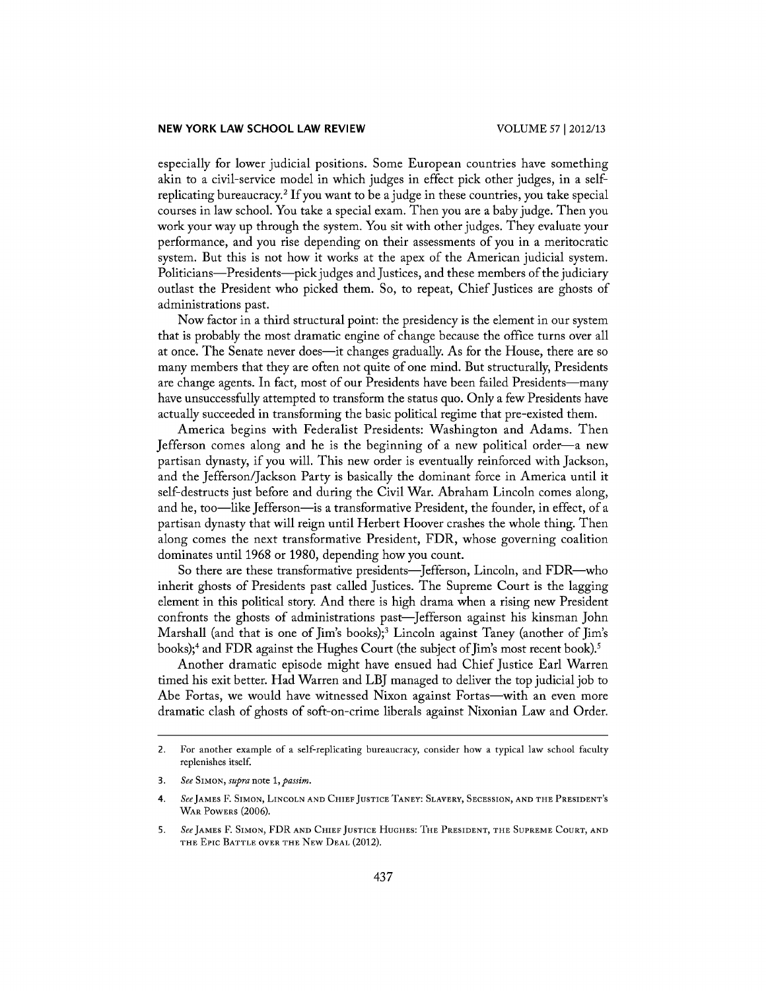especially for lower judicial positions. Some European countries have something akin to a civil-service model in which judges in effect pick other judges, in a selfreplicating bureaucracy. <sup>2</sup>**If** you want to be a judge in these countries, you take special courses in law school. You take a special exam. Then you are a baby judge. Then you work your way up through the system. You sit with other judges. They evaluate your performance, and you rise depending on their assessments of you in a meritocratic system. But this is not how it works at the apex of the American judicial system. Politicians—Presidents—pick judges and Justices, and these members of the judiciary outlast the President who picked them. So, to repeat, Chief Justices are ghosts of administrations past.

Now factor in a third structural point: the presidency is the element in our system that is probably the most dramatic engine of change because the office turns over all at once. The Senate never does-it changes gradually. As for the House, there are so many members that they are often not quite of one mind. But structurally, Presidents are change agents. In fact, most of our Presidents have been failed Presidents—many have unsuccessfully attempted to transform the status quo. Only a few Presidents have actually succeeded in transforming the basic political regime that pre-existed them.

America begins with Federalist Presidents: Washington and Adams. Then Jefferson comes along and he is the beginning of a new political order-a new partisan dynasty, if you will. This new order is eventually reinforced with Jackson, and the Jefferson/Jackson Party is basically the dominant force in America until it self-destructs just before and during the Civil War. Abraham Lincoln comes along, and he, too-like Jefferson-is a transformative President, the founder, in effect, of a partisan dynasty that will reign until Herbert Hoover crashes the whole thing. Then along comes the next transformative President, FDR, whose governing coalition dominates until **1968** or **1980,** depending how you count.

So there are these transformative presidents-Jefferson, Lincoln, and FDR-who inherit ghosts of Presidents past called Justices. The Supreme Court is the lagging element in this political story. And there is high drama when a rising new President confronts the ghosts of administrations past-Jefferson against his kinsman John Marshall (and that is one of Jim's books);<sup>3</sup> Lincoln against Taney (another of Jim's books);<sup>4</sup> and FDR against the Hughes Court (the subject of Jim's most recent book).<sup>5</sup>

Another dramatic episode might have ensued had Chief Justice Earl Warren timed his exit better. Had Warren and LBJ managed to deliver the top judicial **job** to Abe Fortas, we would have witnessed Nixon against Fortas-with an even more dramatic clash of ghosts of soft-on-crime liberals against Nixonian Law and Order.

*<sup>2.</sup>* For another example of a self-replicating bureaucracy, consider how a typical law school faculty replenishes itself.

**<sup>3.</sup>** *See SIMON, supra* note *1, passim.*

<sup>4.</sup> *SeeJAMES* F. **SIMON, LINCOLN AND CHIEF JUSTICE TANEY: SLAVERY, SECESSION, AND THE PRESIDENT'S WAR POWERS (2006).**

**<sup>5.</sup>** *See* **JAMES** F. **SIMON,** FDR **AND CHIEF JUSTICE HUGHES: THE PRESIDENT, THE SUPREME COURT, AND THE** Epic **BATTLE OVER THE NEW DEAL** (2012).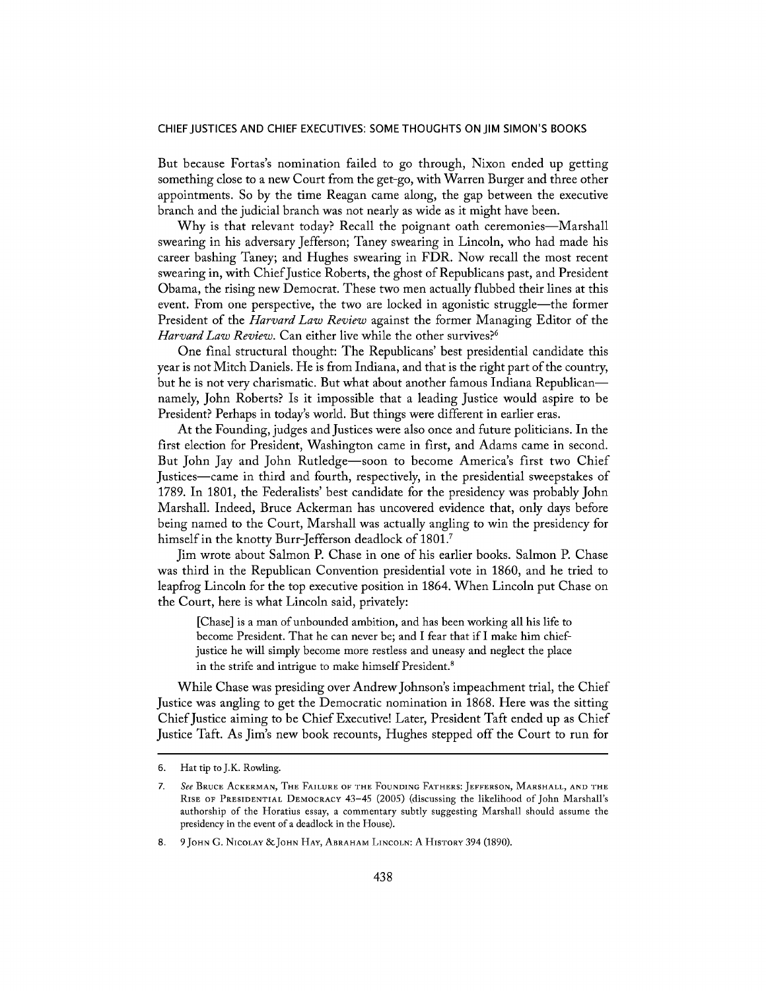#### **CHIEF JUSTICES AND CHIEF EXECUTIVES: SOME THOUGHTS ON JIM SIMON'S BOOKS**

But because Fortas's nomination failed to go through, Nixon ended up getting something close to a new Court from the get-go, with Warren Burger and three other appointments. So **by** the time Reagan came along, the gap between the executive branch and the judicial branch was not nearly as wide as it might have been.

Why is that relevant today? Recall the poignant oath ceremonies-Marshall swearing in his adversary Jefferson; Taney swearing in Lincoln, who had made his career bashing Taney; and Hughes swearing in FDR. Now recall the most recent swearing in, with ChiefJustice Roberts, the ghost of Republicans past, and President Obama, the rising new Democrat. These two men actually flubbed their lines at this event. From one perspective, the two are locked in agonistic struggle—the former President of the *Harvard Law Review* against the former Managing Editor of the *Harvard Law Review.* Can either live while the other survives?'

One final structural thought: The Republicans' best presidential candidate this year is not Mitch Daniels. He is from Indiana, and that is the right part of the country, but he is not very charismatic. But what about another famous Indiana Republicannamely, John Roberts? Is it impossible that a leading Justice would aspire to be President? Perhaps in today's world. But things were different in earlier eras.

At the Founding, judges and Justices were also once and future politicians. In the first election for President, Washington came in first, and Adams came in second. But John Jay and John Rutledge-soon to become America's first two Chief Justices-came in third and fourth, respectively, in the presidential sweepstakes of **1789.** In **1801,** the Federalists' best candidate for the presidency was probably John Marshall. Indeed, Bruce Ackerman has uncovered evidence that, only days before being named to the Court, Marshall was actually angling to win the presidency for himself in the knotty Burr-Jefferson deadlock **of 1801.7**

Jim wrote about Salmon P. Chase in one of his earlier books. Salmon P. Chase was third in the Republican Convention presidential vote in **1860,** and he tried to leapfrog Lincoln for the top executive position in 1864. When Lincoln put Chase on the Court, here is what Lincoln said, privately:

[Chase] is a man of unbounded ambition, and has been working all his life to become President. That he can never be; and I fear that if I make him chiefjustice he will simply become more restless and uneasy and neglect the place in the strife and intrigue to make himself President.

While Chase was presiding over Andrew Johnson's impeachment trial, the Chief Justice was angling to get the Democratic nomination in **1868.** Here was the sitting Chief Justice aiming to be Chief Executive! Later, President Taft ended up as Chief Justice Taft. As Jim's new book recounts, Hughes stepped off the Court to run for

**<sup>6.</sup>** Hat tip to **J.K.** Rowling.

**<sup>7.</sup>** See **BRUCE ACKERMAN, THE FAILURE OF THE FOUNDING FATHERS: JEFFERSON, MARSHALL, AND THE RISE OF PRESIDENTIAL DEMOCRACY** 43-45 **(2005) (discussing** the likelihood of John Marshall's **authorship of** the **Horatius essay, a commentary** subtly **suggesting** Marshall should **assume** the **presidency in** the **event of a** deadlock **in** the **House).**

**<sup>8.</sup> 9 JOHN G. NICOLAY &JOHN HAY, ABRAHAM LINCOLN: A HISTORY** 394 **(1890).**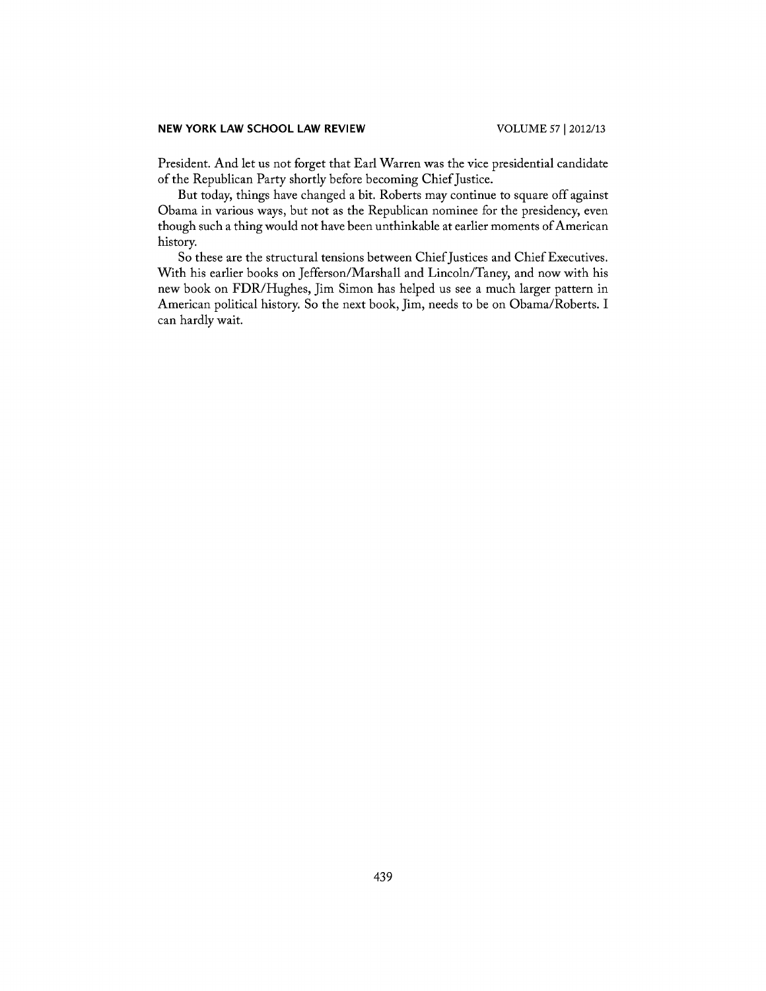#### **NEW YORK LAW SCHOOL LAW REVIEW**

President. And let us not forget that Earl Warren was the vice presidential candidate of the Republican Party shortly before becoming Chief Justice.

But today, things have changed a bit. Roberts may continue to square off against Obama in various ways, but not as the Republican nominee for the presidency, even though such a thing would not have been unthinkable at earlier moments of American history.

So these are the structural tensions between Chief Justices and Chief Executives. With his earlier books on Jefferson/Marshall and Lincoln/Taney, and now with his new book on FDR/Hughes, Jim Simon has helped us see a much larger pattern in American political history. So the next book, Jim, needs to be on Obama/Roberts. **I** can hardly wait.